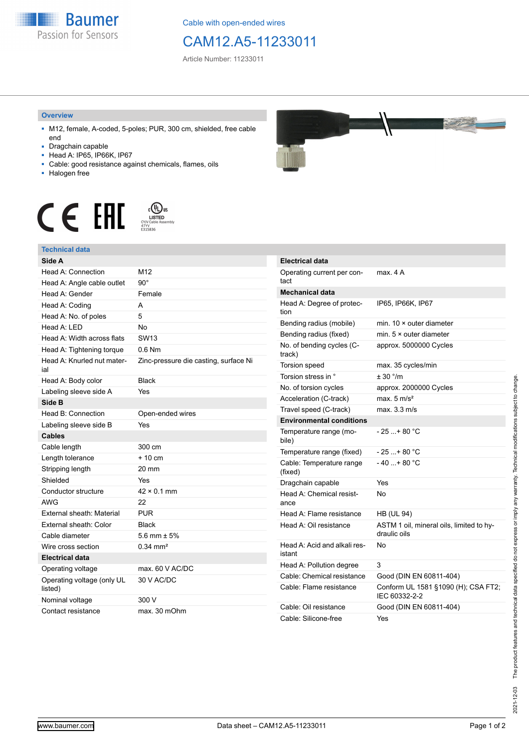

Cable with open-ended wires

## CAM12.A5-11233011

Article Number: 11233011

## **Overview**

- M12, female, A-coded, 5-poles; PUR, 300 cm, shielded, free cable end
- Dragchain capable
- Head A: IP65, IP66K, IP67
- Cable: good resistance against chemicals, flames, oils
- Halogen free





## **Technical data**

| Side A                                |                                       |
|---------------------------------------|---------------------------------------|
| Head A: Connection                    | M12                                   |
| Head A: Angle cable outlet            | $90^\circ$                            |
| Head A: Gender                        | Female                                |
| Head A: Coding                        | A                                     |
| Head A: No. of poles                  | 5                                     |
| Head A: I FD                          | <b>No</b>                             |
| Head A: Width across flats            | <b>SW13</b>                           |
| Head A: Tightening torque             | $0.6$ Nm                              |
| Head A: Knurled nut mater-<br>ial     | Zinc-pressure die casting, surface Ni |
| Head A: Body color                    | <b>Black</b>                          |
| Labeling sleeve side A                | Yes                                   |
| Side B                                |                                       |
| Head B: Connection                    | Open-ended wires                      |
| Labeling sleeve side B                | Yes                                   |
| <b>Cables</b>                         |                                       |
| Cable length                          | 300 cm                                |
| Length tolerance                      | $+10 \text{ cm}$                      |
| Stripping length                      | 20 mm                                 |
| Shielded                              | Yes                                   |
| Conductor structure                   | $42 \times 0.1$ mm                    |
| <b>AWG</b>                            | 22                                    |
| External sheath: Material             | <b>PUR</b>                            |
| External sheath: Color                | <b>Black</b>                          |
| Cable diameter                        | 5.6 mm $\pm$ 5%                       |
| Wire cross section                    | $0.34 \, \text{mm}^2$                 |
| <b>Electrical data</b>                |                                       |
| Operating voltage                     | max. 60 V AC/DC                       |
| Operating voltage (only UL<br>listed) | 30 V AC/DC                            |
| Nominal voltage                       | 300 V                                 |
| Contact resistance                    | max. 30 mOhm                          |



| <b>Electrical data</b>                 |                                                          |
|----------------------------------------|----------------------------------------------------------|
| Operating current per con-<br>tact     | max. 4 A                                                 |
| <b>Mechanical data</b>                 |                                                          |
| Head A: Degree of protec-<br>tion      | IP65, IP66K, IP67                                        |
| Bending radius (mobile)                | min. $10 \times$ outer diameter                          |
| Bending radius (fixed)                 | min. $5 \times$ outer diameter                           |
| No. of bending cycles (C-<br>track)    | approx. 5000000 Cycles                                   |
| Torsion speed                          | max. 35 cycles/min                                       |
| Torsion stress in °                    | ± 30 °/m                                                 |
| No. of torsion cycles                  | approx. 2000000 Cycles                                   |
| Acceleration (C-track)                 | max. $5 \text{ m/s}^2$                                   |
| Travel speed (C-track)                 | max. 3.3 m/s                                             |
| <b>Environmental conditions</b>        |                                                          |
| Temperature range (mo-<br>bile)        | $-25$ + 80 °C                                            |
| Temperature range (fixed)              | $-25+80 °C$                                              |
| Cable: Temperature range<br>(fixed)    | $-40$ + 80 °C                                            |
| Dragchain capable                      | Yes                                                      |
| Head A: Chemical resist-<br>ance       | No                                                       |
| Head A: Flame resistance               | <b>HB (UL 94)</b>                                        |
| Head A: Oil resistance                 | ASTM 1 oil, mineral oils, limited to hy-<br>draulic oils |
| Head A: Acid and alkali res-<br>istant | No                                                       |
| Head A: Pollution degree               | 3                                                        |
| Cable: Chemical resistance             | Good (DIN EN 60811-404)                                  |
| Cable: Flame resistance                | Conform UL 1581 §1090 (H); CSA FT2;<br>IEC 60332-2-2     |
| Cable: Oil resistance                  | Good (DIN EN 60811-404)                                  |
| Cable: Silicone-free                   | Yes                                                      |